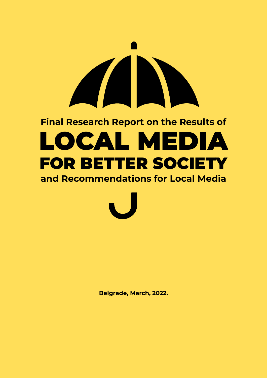# **Final Research Report on the Results of**  LOCAL MEDIA FOR BETTER SOCIETY

**and Recommendations for Local Media**

**Belgrade, March, 2022.**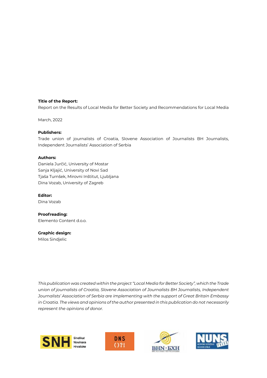#### **Title of the Report:**

nue of the Report:<br>Report on the Results of Local Media for Better Society and Recommendations for Local Media  $R$  on the Results of Local Media for Better Society and Recommendations for Local Media  $\epsilon$ 

March, 2022

#### **Publishers:**

Trade union of journalists of Croatia, Slovene Association of Journalists BH Journalists, **Publishers:**  Independent Journalists' Association of Serbia Journalists, Independent Journalists' Association of Serbia Trade union of journalists of Croatia, Slovene Association of Journalists BH

#### **Authors: Authors:**

Daniela Jurčić, University of Mostar Daniela Jurčić, University of Mostar Sanja Kljajić, University of Novi Sad Sanja Kljajić, University of Novi Sad Tjaša Turnšek, Mirovni Inštitut, Ljubljana Tjaša Turnšek, Mirovni Inštitut, Ljubljana Dina Vozab, University of Zagreb Dina Vozab, University of Zagreb

**Editor:** Dina Vozab

**Proofreading:** Elemento Content d.o.o. **Proofreading:** Elemento Content d.o.o.

**Graphic design: Graphic design:**  Milos Sindjelic Milos Sindjelic

*This publication was created within the project "Local Media for Better Society", which the Trade of journalists of Croatia, Slovene Association of Journalists BH Journalists, Independent Journalists'*  union of journalists of Croatia, Slovene Association of Journalists BH Journalists, Independent *Journalists' Association of Serbia are implementing with the support of Great Britain Embassy opinions of donor.in Croatia. The views and opinions of the author presented in this publication do not necessarily represent the opinions of donor. Association of Serbia are implementing with the support of Great Britain Embassy in Croatia. The* 







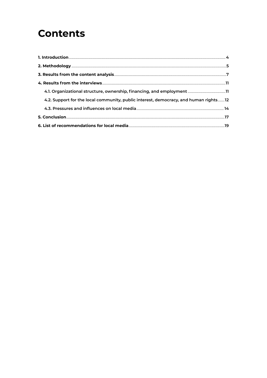### **Contents**

| 4.2. Support for the local community, public interest, democracy, and human rights 12 |  |
|---------------------------------------------------------------------------------------|--|
|                                                                                       |  |
|                                                                                       |  |
|                                                                                       |  |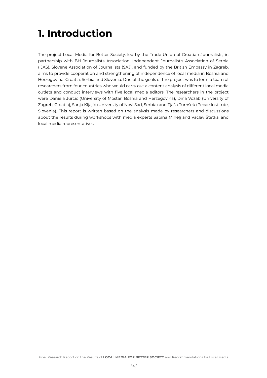### **1. Introduction**

The project Local Media for Better Society, led by the Trade Union of Croatian Journalists, in partnership with BH Journalists Association, Independent Journalist's Association of Serbia (IJAS), Slovene Association of Journalists (SAJ), and funded by the British Embassy in Zagreb, aims to provide cooperation and strengthening of independence of local media in Bosnia and Herzegovina, Croatia, Serbia and Slovenia. One of the goals of the project was to form a team of researchers from four countries who would carry out a content analysis of different local media outlets and conduct interviews with five local media editors. The researchers in the project were Daniela Jurčić (University of Mostar, Bosnia and Herzegovina), Dina Vozab (University of Zagreb, Croatia), Sanja Kljajić (University of Novi Sad, Serbia) and Tjaša Turnšek (Pecae Institute, Slovenia). This report is written based on the analysis made by researchers and discussions about the results during workshops with media experts Sabina Mihelj and Václav Štětka, and local media representatives.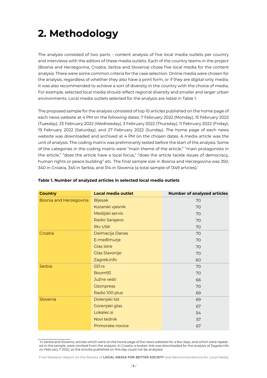### **2. Methodology**

The analysis consisted of two parts – content analysis of five local media outlets per country and interviews with the editors of these media outlets. Each of the country teams in the project (Bosnia and Herzegovina, Croatia, Serbia and Slovenia) chose five local media for the content analysis. There were some common criteria for the case selection. Online media were chosen for the analysis, regardless of whether they also have a print form, or if they are digital-only media. It was also recommended to achieve a sort of diversity in the country with the choice of media. For example, selected local media should reflect regional diversity and smaller and larger urban environments. Local media outlets selected for the analysis are listed in Table 1.

The proposed sample for the analysis consisted of top 10 articles published on the home page of each news website at 4 PM on the following dates: 7 February 2022 (Monday), 15 February 2022 (Tuesday), 23 February 2022 (Wednesday), 3 February 2022 (Thursday), 11 February 2022 (Friday), 19 February 2022 (Saturday), and 27 February 2022 (Sunday). The home page of each news website was downloaded and archived at 4 PM on the chosen dates. A media article was the unit of analysis. The coding matrix was preliminarily tested before the start of the analysis. Some of the categories in the coding matrix were "main theme of the article," "main protagonists in the article," "does the article have a local focus," "does the article tackle issues of democracy, human rights or peace building" etc. The final sample size in Bosnia and Herzegovina was 350, 340 in Croatia, 345 in Serbia, and 314 in Slovenia (a total sample of 1349 articles).<sup>1</sup>

| <b>Country</b>         | <b>Local media outlet</b> | <b>Number of analyzed articles</b> |
|------------------------|---------------------------|------------------------------------|
| Bosnia and Herzegovina | <b>Bljesak</b>            | 70                                 |
|                        | Kozarski vjesnik          | 70                                 |
|                        | Medijski servis           | 70                                 |
|                        | Radio Sarajevo            | 70                                 |
|                        | <b>Rtv USK</b>            | 70                                 |
| Croatia                | Dalmacija Danas           | 70                                 |
|                        | E-međimurje               | 70                                 |
|                        | Glas Istre                | 70                                 |
|                        | <b>Glas Slavonije</b>     | 70                                 |
|                        | Zagreb.info               | 60                                 |
| Serbia                 | 021.rs                    | 70                                 |
|                        | Boom93                    | 70                                 |
|                        | Južne vesti               | 66                                 |
|                        | Ozonpress                 | 70                                 |
|                        | Radio 100 plus            | 69                                 |
| Slovenia               | Dolenjski list            | 69                                 |
|                        | Gorenjski glas            | 67                                 |
|                        | Lokalec.si                | 54                                 |
|                        | Novi tednik               | 57                                 |
|                        | Primorske novice          | 67                                 |

#### **Table 1. Number of analyzed articles in selected local media outlets**

 $\frac{1}{1}$  In Serbia and Slovenia, articles which were on the home page of the news websites for a few days, and which were repeated in the sample, were omitted from the analysis. In Croatia, a broken link was downloaded for the analysis of Zagreb.info on February 7 2022, so the articles published on this day could not be analyzed.

Final Research Report on the Results of **LOCAL MEDIA FOR BETTER SOCIETY** and Recommendations for Local Media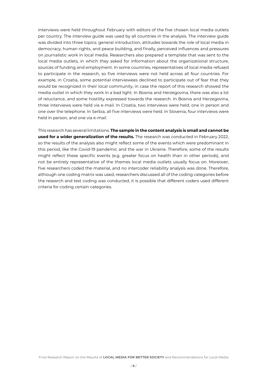Interviews were held throughout February with editors of the five chosen local media outlets per country. The interview guide was used by all countries in the analysis. The interview guide was divided into three topics: general introduction, attitudes towards the role of local media in democracy, human rights, and peace building, and finally, perceived influences and pressures on journalistic work in local media. Researchers also prepared a template that was sent to the local media outlets, in which they asked for information about the organizational structure, sources of funding and employment. In some countries, representatives of local media refused to participate in the research, so five interviews were not held across all four countries. For example, in Croatia, some potential interviewees declined to participate out of fear that they would be recognized in their local community, in case the report of this research showed the media outlet in which they work in a bad light. In Bosnia and Herzegovina, there was also a lot of reluctance, and some hostility expressed towards the research. In Bosnia and Herzegovina, three interviews were held via e-mail. In Croatia, two interviews were held, one in person and one over the telephone. In Serbia, all five interviews were held. In Slovenia, four interviews were held in person, and one via e-mail.

This research has several limitations. **The sample in the content analysis is small and cannot be used for a wider generalization of the results.** The research was conducted in February 2022, so the results of the analysis also might reflect some of the events which were predominant in this period, like the Covid-19 pandemic and the war in Ukraine. Therefore, some of the results might reflect these specific events (e.g. greater focus on health than in other periods), and not be entirely representative of the themes local media outlets usually focus on. Moreover, five researchers coded the material, and no intercoder reliability analysis was done. Therefore, although one coding matrix was used, researchers discussed all of the coding categories before the research and test coding was conducted, it is possible that different coders used different criteria for coding certain categories.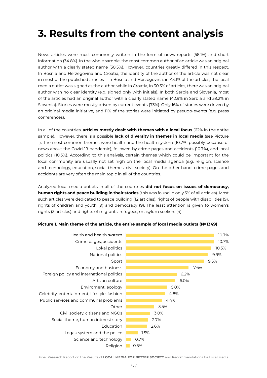## **3. Results from the content analysis**

News articles were most commonly written in the form of news reports (58.1%) and short information (34.8%). In the whole sample, the most common author of an article was an original author with a clearly stated name (30,5%). However, countries greatly differed in this respect. In Bosnia and Herzegovina and Croatia, the identity of the author of the article was not clear in most of the published articles – in Bosnia and Herzegovina, in 43.1% of the articles, the local media outlet was signed as the author, while in Croatia, in 30.3% of articles, there was an original author with no clear identity (e.g. signed only with initials). In both Serbia and Slovenia, most of the articles had an original author with a clearly stated name (42.9% in Serbia and 39.2% in Slovenia). Stories were mostly driven by current events (73%). Only 16% of stories were driven by an original media initiative, and 11% of the stories were initiated by pseudo-events (e.g. press conferences).

In all of the countries, **articles mostly dealt with themes with a local focus** (62% in the entire sample). However, there is a possible **lack of diversity in themes in local media** (see Picture 1). The most common themes were health and the health system (10.7%, possibly because of news about the Covid-19 pandemic), followed by crime pages and accidents (10.7%), and local politics (10.3%). According to this analysis, certain themes which could be important for the local community are usually not set high on the local media agenda (e.g. religion, science and technology, education, social themes, civil society). On the other hand, crime pages and accidents are very often the main topic in all of the countries.

Analyzed local media outlets in all of the countries **did not focus on issues of democracy, human rights and peace building in their stories** (this was found in only 5% of all articles). Most such articles were dedicated to peace building (12 articles), rights of people with disabilities (9), rights of children and youth (9) and democracy (9). The least attention is given to women's rights (3 articles) and rights of migrants, refugees, or asylum seekers (4).



#### **Picture 1. Main theme of the article, the entire sample of local media outlets (N=1349)**

Final Research Report on the Results of **LOCAL MEDIA FOR BETTER SOCIETY** and Recommendations for Local Media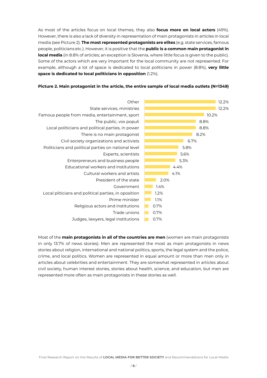As most of the articles focus on local themes, they also **focus more on local actors** (49%). However, there is also a lack of diversity in representation of main protagonists in articles in local media (see Picture 2). **The most represented protagonists are elites** (e.g. state services, famous people, politicians etc.). However, it is positive that the **public is a common main protagonist in local media** (in 8.8% of articles; an exception is Slovenia, where little focus is given to the public). Some of the actors which are very important for the local community are not represented. For example, although a lot of space is dedicated to local politicians in power (8.8%), **very little space is dedicated to local politicians in opposition** (1.2%).



#### **Picture 2. Main protagonist in the article, the entire sample of local media outlets (N=1349)**

Most of the **main protagonists in all of the countries are men** (women are main protagonists in only 13.7% of news stories). Men are represented the most as main protagonists in news stories about religion, international and national politics, sports, the legal system and the police, crime, and local politics. Women are represented in equal amount or more than men only in articles about celebrities and entertainment. They are somewhat represented in articles about civil society, human interest stories, stories about health, science, and education, but men are represented more often as main protagonists in these stories as well.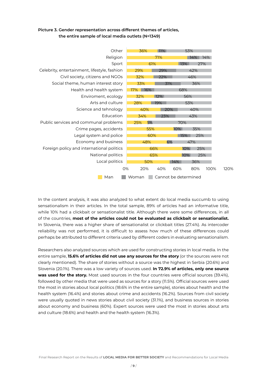#### **Picture 3. Gender representation across different themes of articles, the entire sample of local media outlets (N=1349)**



In the content analysis, it was also analyzed to what extent do local media succumb to using sensationalism in their articles. In the total sample, 89% of articles had an informative title, while 10% had a clickbait or sensationalist title. Although there were some differences, in all of the countries, **most of the articles could not be evaluated as clickbait or sensationalist.** In Slovenia, there was a higher share of sensationalist or clickbait titles (27.4%). As intercoder reliability was not performed, it is difficult to assess how much of these differences could perhaps be attributed to different criteria used by different coders in evaluating sensationalism.

Researchers also analyzed sources which are used for constructing stories in local media. In the entire sample, **15.6% of articles did not use any sources for the story** (or the sources were not clearly mentioned). The share of stories without a source was the highest in Serbia (20.6%) and Slovenia (20.1%). There was a low variety of sources used. **In 72.9% of articles, only one source was used for the story.** Most used sources in the four countries were official sources (39.4%), followed by other media that were used as sources for a story (11.5%). Official sources were used the most in stories about local politics (18.6% in the entire sample), stories about health and the health system (16.4%) and stories about crime and accidents (16.2%). Sources from civil society were usually quoted in news stories about civil society (31.1%), and business sources in stories about economy and business (60%). Expert sources were used the most in stories about arts and culture (18.6%) and health and the health system (16.3%).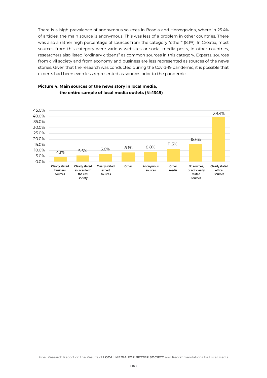There is a high prevalence of anonymous sources in Bosnia and Herzegovina, where in 25.4% of articles, the main source is anonymous. This was less of a problem in other countries. There was also a rather high percentage of sources from the category "other" (8.1%). In Croatia, most sources from this category were various websites or social media posts, in other countries, researchers also listed "ordinary citizens" as common sources in this category. Experts, sources from civil society and from economy and business are less represented as sources of the news stories. Given that the research was conducted during the Covid-19 pandemic, it is possible that experts had been even less represented as sources prior to the pandemic.



#### **Picture 4. Main sources of the news story in local media, the entire sample of local media outlets (N=1349)**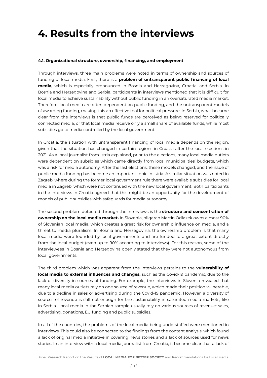### **4. Results from the interviews**

#### **4.1. Organizational structure, ownership, financing, and employment**

Through interviews, three main problems were noted in terms of ownership and sources of funding of local media. First, there is a **problem of untransparent public financing of local media,** which is especially pronounced in Bosnia and Herzegovina, Croatia, and Serbia. In Bosnia and Herzegovina and Serbia, participants in interviews mentioned that it is difficult for local media to achieve sustainability without public funding in an oversaturated media market. Therefore, local media are often dependent on public funding, and the untransparent models of awarding funding, making this an effective tool for political pressure. In Serbia, what became clear from the interviews is that public funds are perceived as being reserved for politically connected media, or that local media receive only a small share of available funds, while most subsidies go to media controlled by the local government.

In Croatia, the situation with untransparent financing of local media depends on the region, given that the situation has changed in certain regions in Croatia after the local elections in 2021. As a local journalist from Istria explained, prior to the elections, many local media outlets were dependent on subsidies which came directly from local municipalities' budgets, which was a risk for media autonomy. After the last elections, these models changed, and the issue of public media funding has become an important topic in Istria. A similar situation was noted in Zagreb, where during the former local government rule there were available subsidies for local media in Zagreb, which were not continued with the new local government. Both participants in the interviews in Croatia agreed that this might be an opportunity for the development of models of public subsidies with safeguards for media autonomy.

The second problem detected through the interviews is the **structure and concentration of ownership on the local media market.** In Slovenia, oligarch Martin Odlazek owns almost 90% of Slovenian local media, which creates a great risk for ownership influence on media, and a threat to media pluralism. In Bosnia and Herzegovina, the ownership problem is that many local media were founded by local governments and are funded to a great extent directly from the local budget (even up to 90% according to interviews). For this reason, some of the interviewees in Bosnia and Herzegovina openly stated that they were not autonomous from local governments.

The third problem which was apparent from the interviews pertains to the **vulnerability of local media to external influences and changes,** such as the Covid-19 pandemic, due to the lack of diversity in sources of funding. For example, the interviews in Slovenia revealed that many local media outlets rely on one source of revenue, which made their position vulnerable, due to a decline in sales or advertising during the Covid-19 pandemic. However, a diversity of sources of revenue is still not enough for the sustainability in saturated media markets, like in Serbia. Local media in the Serbian sample usually rely on various sources of revenue: sales, advertising, donations, EU funding and public subsidies.

In all of the countries, the problems of the local media being understaffed were mentioned in interviews. This could also be connected to the findings from the content analysis, which found a lack of original media initiative in covering news stories and a lack of sources used for news stories. In an interview with a local media journalist from Croatia, it became clear that a lack of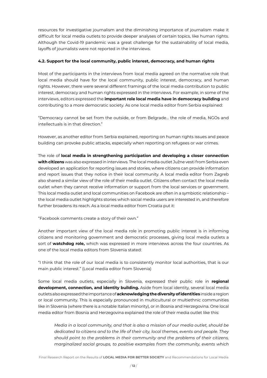resources for investigative journalism and the diminishing importance of journalism make it difficult for local media outlets to provide deeper analyses of certain topics, like human rights. Although the Covid-19 pandemic was a great challenge for the sustainability of local media, layoffs of journalists were not reported in the interviews.

#### **4.2. Support for the local community, public interest, democracy, and human rights**

Most of the participants in the interviews from local media agreed on the normative role that local media should have for the local community, public interest, democracy, and human rights. However, there were several different framings of the local media contribution to public interest, democracy and human rights expressed in the interviews. For example, in some of the interviews, editors expressed the **important role local media have in democracy building** and contributing to a more democratic society. As one local media editor from Serbia explained:

"Democracy cannot be set from the outside, or from Belgrade… the role of media, NGOs and intellectuals is in that direction."

However, as another editor from Serbia explained, reporting on human rights issues and peace building can provoke public attacks, especially when reporting on refugees or war crimes.

The role of **local media in strengthening participation and developing a closer connection with citizens** was also expressed in interviews. The local media outlet Južne vesti from Serbia even developed an application for reporting issues and stories, where citizens can provide information and report issues that they notice in their local community. A local media editor from Zagreb also shared a similar view of the role of their media outlet. Citizens often contact the local media outlet when they cannot receive information or support from the local services or government. This local media outlet and local communities on Facebook are often in a symbiotic relationship – the local media outlet highlights stories which social media users are interested in, and therefore further broadens its reach. As a local media editor from Croatia put it:

"Facebook comments create a story of their own."

Another important view of the local media role in promoting public interest is in informing citizens and monitoring government and democratic processes, giving local media outlets a sort of **watchdog role,** which was expressed in more interviews across the four countries. As one of the local media editors from Slovenia stated:

"I think that the role of our local media is to consistently monitor local authorities, that is our main public interest." (Local media editor from Slovenia)

Some local media outlets, especially in Slovenia, expressed their public role in **regional development, connection, and identity building.** Aside from local identity, several local media outlets also expressed the importance of **acknowledging the diversity of identities** inside a region or local community. This is especially pronounced in multicultural or multiethnic communities like in Slovenia (where there is a notable Italian minority), or in Bosnia and Herzegovina. One local media editor from Bosnia and Herzegovina explained the role of their media outlet like this:

*Media in a local community, and that is also a mission of our media outlet, should be dedicated to citizens and to the life of their city, local themes, events and people. They should point to the problems in their community and the problems of their citizens, marginalized social groups, to positive examples from the community, events which*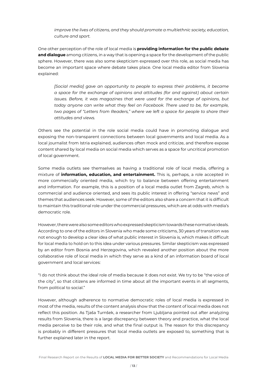*improve the lives of citizens, and they should promote a multiethnic society, education, culture and sport.*

One other perception of the role of local media is **providing information for the public debate and dialogue** among citizens, in a way that is opening a space for the development of the public sphere. However, there was also some skepticism expressed over this role, as social media has become an important space where debate takes place. One local media editor from Slovenia explained:

*[Social media] gave an opportunity to people to express their problems, it became a space for the exchange of opinions and attitudes (for and against) about certain issues. Before, it was magazines that were used for the exchange of opinions, but*  today anyone can write what they feel on Facebook. There used to be, for example, *two pages of "Letters from Readers," where we left a space for people to share their attitudes and views.*

Others see the potential in the role social media could have in promoting dialogue and exposing the non-transparent connections between local governments and local media. As a local journalist from Istria explained, audiences often mock and criticize, and therefore expose content shared by local media on social media which serves as a space for uncritical promotion of local government.

Some media outlets see themselves as having a traditional role of local media, offering a mixture of **information, education, and entertainment.** This is, perhaps, a role accepted in more commercially oriented media, which try to balance between offering entertainment and information. For example, this is a position of a local media outlet from Zagreb, which is commercial and audience oriented, and sees its public interest in offering "service news" and themes that audiences seek. However, some of the editors also share a concern that it is difficult to maintain this traditional role under the commercial pressures, which are at odds with media's democratic role.

However, there were also some editors who expressed skepticism towards these normative ideals. According to one of the editors in Slovenia who made some criticisms, 30 years of transition was not enough to develop a clear idea of what public interest in Slovenia is, which makes it difficult for local media to hold on to this idea under various pressures. Similar skepticism was expressed by an editor from Bosnia and Herzegovina, which revealed another position about the more collaborative role of local media in which they serve as a kind of an information board of local government and local services:

"I do not think about the ideal role of media because it does not exist. We try to be "the voice of the city", so that citizens are informed in time about all the important events in all segments, from political to social."

However, although adherence to normative democratic roles of local media is expressed in most of the media, results of the content analysis show that the content of local media does not reflect this position. As Tjaša Turnšek, a researcher from Ljubljana pointed out after analyzing results from Slovenia, there is a large discrepancy between theory and practice, what the local media perceive to be their role, and what the final output is. The reason for this discrepancy is probably in different pressures that local media outlets are exposed to, something that is further explained later in the report.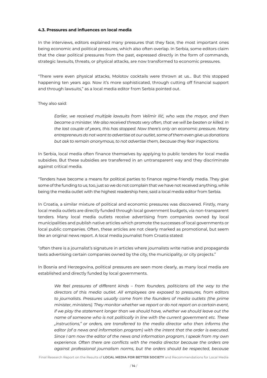#### **4.3. Pressures and influences on local media**

In the interviews, editors explained many pressures that they face, the most important ones being economic and political pressures, which also often overlap. In Serbia, some editors claim that the clear political pressures from the past, expressed directly in the form of commands, strategic lawsuits, threats, or physical attacks, are now transformed to economic pressures.

"There were even physical attacks, Molotov cocktails were thrown at us… But this stopped happening ten years ago. Now it's more sophisticated, through cutting off financial support and through lawsuits," as a local media editor from Serbia pointed out.

#### They also said:

*Earlier, we received multiple lawsuits from Velimir Ilić, who was the mayor, and then became a minister. We also received threats very often, that we will be beaten or killed. In the last couple of years, this has stopped. Now there's only an economic pressure. Many entrepreneurs do not want to advertise at our outlet, some of them even give us donations but ask to remain anonymous, to not advertise them, because they fear inspections.*

In Serbia, local media often finance themselves by applying to public tenders for local media subsidies. But these subsidies are transferred in an untransparent way and they discriminate against critical media.

"Tenders have become a means for political parties to finance regime-friendly media. They give some of the funding to us, too, just so we do not complain that we have not received anything, while being the media outlet with the highest readership here, said a local media editor from Serbia.

In Croatia, a similar mixture of political and economic pressures was discovered. Firstly, many local media outlets are directly funded through local government budgets, via non-transparent tenders. Many local media outlets receive advertising from companies owned by local municipalities and publish native articles which promote the successes of local governments or local public companies. Often, these articles are not clearly marked as promotional, but seem like an original news report. A local media journalist from Croatia stated:

"often there is a journalist's signature in articles where journalists write native and propaganda texts advertising certain companies owned by the city, the municipality, or city projects."

In Bosnia and Herzegovina, political pressures are seen more clearly, as many local media are established and directly funded by local governments.

*We feel pressures of different kinds – from founders, politicians all the way to the directors of this media outlet. All employees are exposed to pressures, from editors to journalists. Pressures usually come from the founders of media outlets (the prime minister, ministers). They monitor whether we report or do not report on a certain event, if we play the statement longer than we should have, whether we should leave out the name of someone who is not politically in line with the current government etc. These "instructions," or orders, are transferred to the media director who then informs the editor (of a news and information program) with the intent that the order is executed. Since I am now the editor of the news and information program, I speak from my own experience. Often there are conflicts with the media director because the orders are against professional journalism norms, but the orders should be respected, because*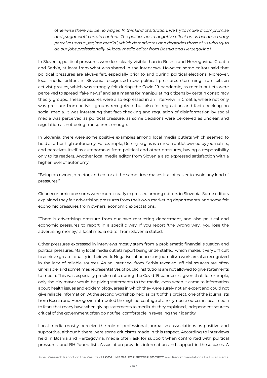*otherwise there will be no wages. In this kind of situation, we try to make a compromise and "sugarcoat" certain content. The politics has a negative effect on us because many perceive us as a "regime media", which demotivates and degrades those of us who try to do our jobs professionally. (A local media editor from Bosnia and Herzegovina)*

In Slovenia, political pressures were less clearly visible than in Bosnia and Herzegovina, Croatia and Serbia, at least from what was shared in the interviews. However, some editors said that political pressures are always felt, especially prior to and during political elections. Moreover, local media editors in Slovenia recognized new political pressures stemming from citizen activist groups, which was strongly felt during the Covid-19 pandemic, as media outlets were perceived to spread "fake news" and as a means for manipulating citizens by certain conspiracy theory groups. These pressures were also expressed in an interview in Croatia, where not only was pressure from activist groups recognized, but also for regulation and fact-checking on social media. It was interesting that fact-checking and regulation of disinformation by social media was perceived as political pressure, as some decisions were perceived as unclear, and regulation as not being transparent enough.

In Slovenia, there were some positive examples among local media outlets which seemed to hold a rather high autonomy. For example, Gorenjski glas is a media outlet owned by journalists, and perceives itself as autonomous from political and other pressures, having a responsibility only to its readers. Another local media editor from Slovenia also expressed satisfaction with a higher level of autonomy:

"Being an owner, director, and editor at the same time makes it a lot easier to avoid any kind of pressures."

Clear economic pressures were more clearly expressed among editors in Slovenia. Some editors explained they felt advertising pressures from their own marketing departments, and some felt economic pressures from owners' economic expectations.

"There is advertising pressure from our own marketing department, and also political and economic pressures to report in a specific way. If you report 'the wrong way', you lose the advertising money," a local media editor from Slovenia stated.

Other pressures expressed in interviews mostly stem from a problematic financial situation and political pressures. Many local media outlets report being understaffed, which makes it very difficult to achieve greater quality in their work. Negative influences on journalism work are also recognized in the lack of reliable sources. As an interview from Serbia revealed, official sources are often unreliable, and sometimes representatives of public institutions are not allowed to give statements to media. This was especially problematic during the Covid-19 pandemic, given that, for example, only the city mayor would be giving statements to the media, even when it came to information about health issues and epidemiology, areas in which they were surely not an expert and could not give reliable information. At the second workshop held as part of this project, one of the journalists from Bosnia and Herzegovina attributed the high percentage of anonymous sources in local media to fears that many have when giving statements to media. As they explained, independent sources critical of the government often do not feel comfortable in revealing their identity.

Local media mostly perceive the role of professional journalism associations as positive and supportive, although there were some criticisms made in this respect. According to interviews held in Bosnia and Herzegovina, media often ask for support when confronted with political pressures, and BH Journalists Association provides information and support in these cases. A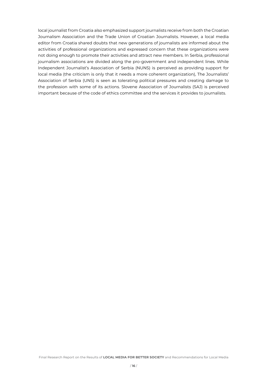local journalist from Croatia also emphasized support journalists receive from both the Croatian Journalism Association and the Trade Union of Croatian Journalists. However, a local media editor from Croatia shared doubts that new generations of journalists are informed about the activities of professional organizations and expressed concern that these organizations were not doing enough to promote their activities and attract new members. In Serbia, professional journalism associations are divided along the pro-government and independent lines. While Independent Journalist's Association of Serbia (NUNS) is perceived as providing support for local media (the criticism is only that it needs a more coherent organization), The Journalists' Association of Serbia (UNS) is seen as tolerating political pressures and creating damage to the profession with some of its actions. Slovene Association of Journalists (SAJ) is perceived important because of the code of ethics committee and the services it provides to journalists.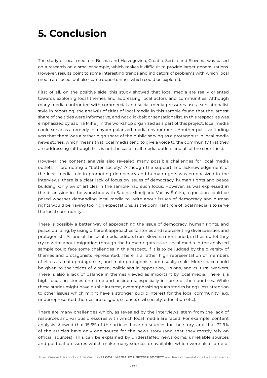### **5. Conclusion**

The study of local media in Bosnia and Herzegovina, Croatia, Serbia and Slovenia was based on a research on a smaller sample, which makes it difficult to provide larger generalizations. However, results point to some interesting trends and indicators of problems with which local media are faced, but also some opportunities which could be explored.

First of all, on the positive side, this study showed that local media are really oriented towards exploring local themes and addressing local actors and communities. Although many media confronted with commercial and social media pressures use a sensationalist style in reporting, the analysis of titles of local media in this sample found that the largest share of the titles were informative, and not clickbait or sensationalist. In this respect, as was emphasized by Sabina Mihelj in the workshop organized as a part of this project, local media could serve as a remedy in a hyper polarized media environment. Another positive finding was that there was a rather high share of the public serving as a protagonist in local media news stories, which means that local media tend to give a voice to the community that they are addressing (although this is not the case in all media outlets and all of the countries).

However, the content analysis also revealed many possible challenges for local media outlets in promoting a "better society." Although the support and acknowledgement of the local media role in promoting democracy and human rights was emphasized in the interviews, there is a clear lack of focus on issues of democracy, human rights and peace building. Only 5% of articles in the sample had such focus. However, as was expressed in the discussion in the workshop with Sabina Mihelj and Václav Štětka, a question could be posed whether demanding local media to write about issues of democracy and human rights would be having too high expectations, as the dominant role of local media is to serve the local community.

There is possibly a better way of approaching the issue of democracy, human rights, and peace building, by using different approaches to stories and representing diverse issues and protagonists. As one of the local media editors from Slovenia mentioned, in their outlet they try to write about migration through the human rights issue. Local media in the analyzed sample could face some challenges in this respect, if it is to be judged by the diversity of themes and protagonists represented. There is a rather high representation of members of elites as main protagonists, and main protagonists are usually male. More space could be given to the voices of women, politicians in opposition, unions, and cultural workers. There is also a lack of balance in themes viewed as important by local media. There is a high focus on stories on crime and accidents, especially in some of the countries. While these stories might have public interest, overemphasizing such stories brings less attention to other issues which might have a stronger public interest for the local community (e.g. underrepresented themes are religion, science, civil society, education etc.).

There are many challenges which, as revealed by the interviews, stem from the lack of resources and various pressures with which local media are faced. For example, content analysis showed that 15.6% of the articles have no sources for the story, and that 72.9% of the articles have only one source for the news story (and that they mostly rely on official sources). This can be explained by understaffed newsrooms, unreliable sources and political pressures which make many sources unavailable, which were also some of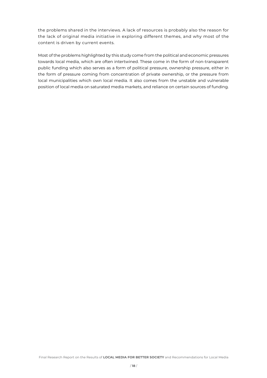the problems shared in the interviews. A lack of resources is probably also the reason for the lack of original media initiative in exploring different themes, and why most of the content is driven by current events.

Most of the problems highlighted by this study come from the political and economic pressures towards local media, which are often intertwined. These come in the form of non-transparent public funding which also serves as a form of political pressure, ownership pressure, either in the form of pressure coming from concentration of private ownership, or the pressure from local municipalities which own local media. It also comes from the unstable and vulnerable position of local media on saturated media markets, and reliance on certain sources of funding.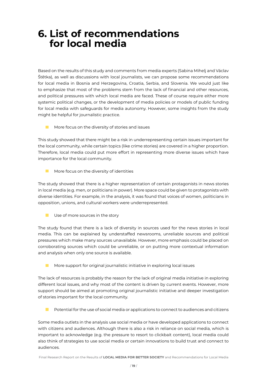### **6. List of recommendations for local media**

Based on the results of this study and comments from media experts (Sabina Mihelj and Václav Štětka), as well as discussions with local journalists, we can propose some recommendations for local media in Bosnia and Herzegovina, Croatia, Serbia, and Slovenia. We would just like to emphasize that most of the problems stem from the lack of financial and other resources, and political pressures with which local media are faced. These of course require either more systemic political changes, or the development of media policies or models of public funding for local media with safeguards for media autonomy. However, some insights from the study might be helpful for journalistic practice.

**More focus on the diversity of stories and issues** 

This study showed that there might be a risk in underrepresenting certain issues important for the local community, while certain topics (like crime stories) are covered in a higher proportion. Therefore, local media could put more effort in representing more diverse issues which have importance for the local community.

 More focus on the diversity of identities

The study showed that there is a higher representation of certain protagonists in news stories in local media (e.g. men, or politicians in power). More space could be given to protagonists with diverse identities. For example, in the analysis, it was found that voices of women, politicians in opposition, unions, and cultural workers were underrepresented.

 $\Box$  Use of more sources in the story

The study found that there is a lack of diversity in sources used for the news stories in local media. This can be explained by understaffed newsrooms, unreliable sources and political pressures which make many sources unavailable. However, more emphasis could be placed on corroborating sources which could be unreliable, or on putting more contextual information and analysis when only one source is available.

 $\blacksquare$  More support for original journalistic initiative in exploring local issues

The lack of resources is probably the reason for the lack of original media initiative in exploring different local issues, and why most of the content is driven by current events. However, more support should be aimed at promoting original journalistic initiative and deeper investigation of stories important for the local community.

 $\blacksquare$  Potential for the use of social media or applications to connect to audiences and citizens

Some media outlets in the analysis use social media or have developed applications to connect with citizens and audiences. Although there is also a risk in reliance on social media, which is important to acknowledge (e.g. the pressure to resort to clickbait content), local media could also think of strategies to use social media or certain innovations to build trust and connect to audiences.